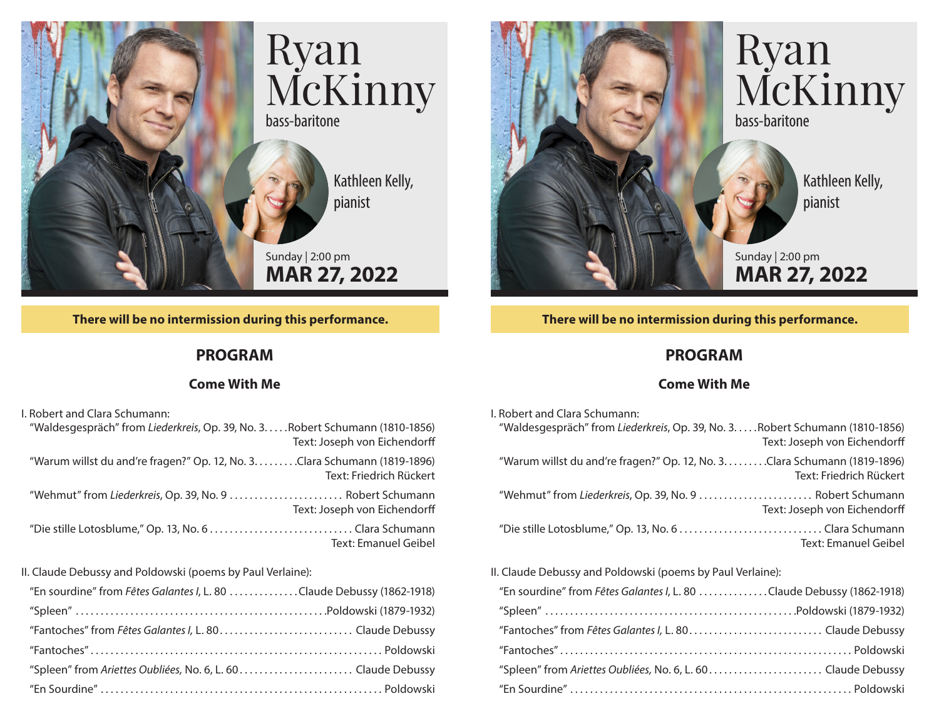

## **There will be no intermission during this performance.**

## **PROGRAM**

## **Come With Me**

| I. Robert and Clara Schumann:                                                                                 |
|---------------------------------------------------------------------------------------------------------------|
| "Waldesgespräch" from Liederkreis, Op. 39, No. 3. Robert Schumann (1810-1856)<br>Text: Joseph von Eichendorff |
| "Warum willst du and're fragen?" Op. 12, No. 3. Clara Schumann (1819-1896)<br>Text: Friedrich Rückert         |
| "Wehmut" from Liederkreis, Op. 39, No. 9  Robert Schumann<br>Text: Joseph von Eichendorff                     |
| <b>Text: Emanuel Geibel</b>                                                                                   |
|                                                                                                               |

II. Claude Debussy and Poldowski (poems by Paul Verlaine):

| "En sourdine" from Fêtes Galantes I, L. 80 Claude Debussy (1862-1918) |  |
|-----------------------------------------------------------------------|--|
|                                                                       |  |
|                                                                       |  |
|                                                                       |  |
|                                                                       |  |
|                                                                       |  |